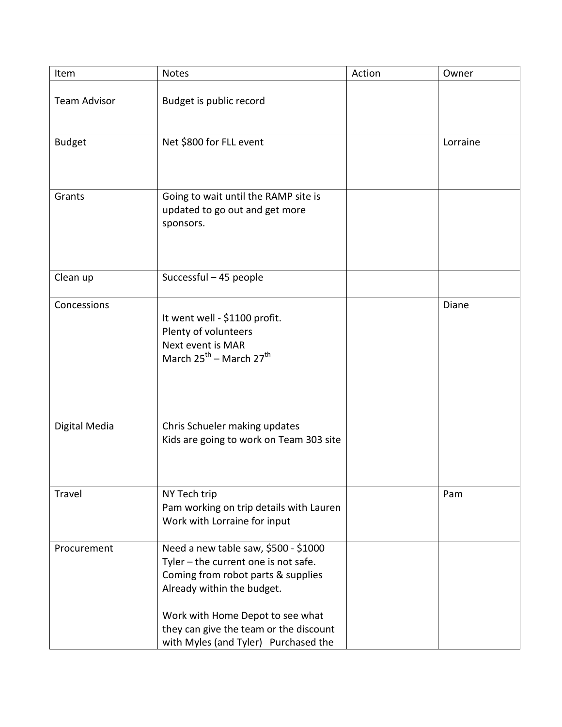| Item                | <b>Notes</b>                                                                                                                                                                                                                                                           | Action | Owner    |
|---------------------|------------------------------------------------------------------------------------------------------------------------------------------------------------------------------------------------------------------------------------------------------------------------|--------|----------|
| <b>Team Advisor</b> | Budget is public record                                                                                                                                                                                                                                                |        |          |
| <b>Budget</b>       | Net \$800 for FLL event                                                                                                                                                                                                                                                |        | Lorraine |
| Grants              | Going to wait until the RAMP site is<br>updated to go out and get more<br>sponsors.                                                                                                                                                                                    |        |          |
| Clean up            | Successful - 45 people                                                                                                                                                                                                                                                 |        |          |
| Concessions         | It went well - \$1100 profit.<br>Plenty of volunteers<br>Next event is MAR<br>March $25^{th}$ – March $27^{th}$                                                                                                                                                        |        | Diane    |
| Digital Media       | Chris Schueler making updates<br>Kids are going to work on Team 303 site                                                                                                                                                                                               |        |          |
| Travel              | NY Tech trip<br>Pam working on trip details with Lauren<br>Work with Lorraine for input                                                                                                                                                                                |        | Pam      |
| Procurement         | Need a new table saw, \$500 - \$1000<br>Tyler - the current one is not safe.<br>Coming from robot parts & supplies<br>Already within the budget.<br>Work with Home Depot to see what<br>they can give the team or the discount<br>with Myles (and Tyler) Purchased the |        |          |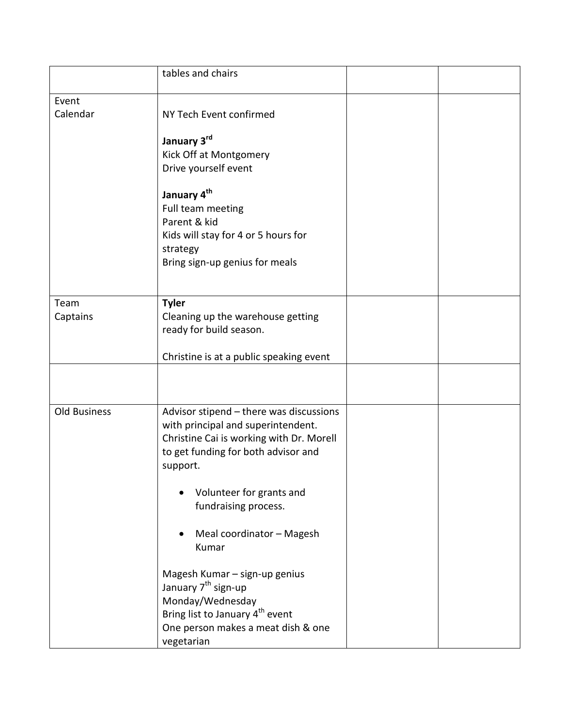|                     | tables and chairs                           |  |
|---------------------|---------------------------------------------|--|
| Event               |                                             |  |
| Calendar            | NY Tech Event confirmed                     |  |
|                     | January 3rd                                 |  |
|                     | Kick Off at Montgomery                      |  |
|                     | Drive yourself event                        |  |
|                     | January 4 <sup>th</sup>                     |  |
|                     | Full team meeting                           |  |
|                     | Parent & kid                                |  |
|                     | Kids will stay for 4 or 5 hours for         |  |
|                     | strategy                                    |  |
|                     | Bring sign-up genius for meals              |  |
|                     |                                             |  |
| Team                | <b>Tyler</b>                                |  |
| Captains            | Cleaning up the warehouse getting           |  |
|                     | ready for build season.                     |  |
|                     |                                             |  |
|                     | Christine is at a public speaking event     |  |
|                     |                                             |  |
|                     |                                             |  |
|                     |                                             |  |
| <b>Old Business</b> | Advisor stipend - there was discussions     |  |
|                     | with principal and superintendent.          |  |
|                     | Christine Cai is working with Dr. Morell    |  |
|                     | to get funding for both advisor and         |  |
|                     | support.                                    |  |
|                     |                                             |  |
|                     | Volunteer for grants and                    |  |
|                     | fundraising process.                        |  |
|                     |                                             |  |
|                     | Meal coordinator - Magesh                   |  |
|                     | Kumar                                       |  |
|                     |                                             |  |
|                     | Magesh Kumar - sign-up genius               |  |
|                     | January 7 <sup>th</sup> sign-up             |  |
|                     | Monday/Wednesday                            |  |
|                     | Bring list to January 4 <sup>th</sup> event |  |
|                     | One person makes a meat dish & one          |  |
|                     | vegetarian                                  |  |